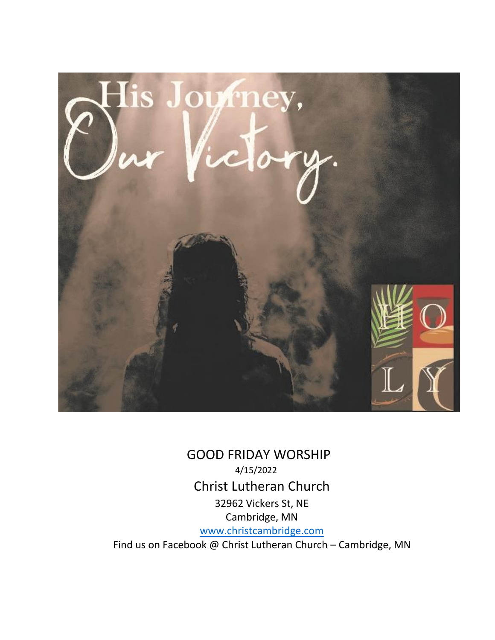

 GOOD FRIDAY WORSHIP 4/15/2022 Christ Lutheran Church 32962 Vickers St, NE Cambridge, MN [www.christcambridge.com](http://www.christcambridge.com/) Find us on Facebook @ Christ Lutheran Church – Cambridge, MN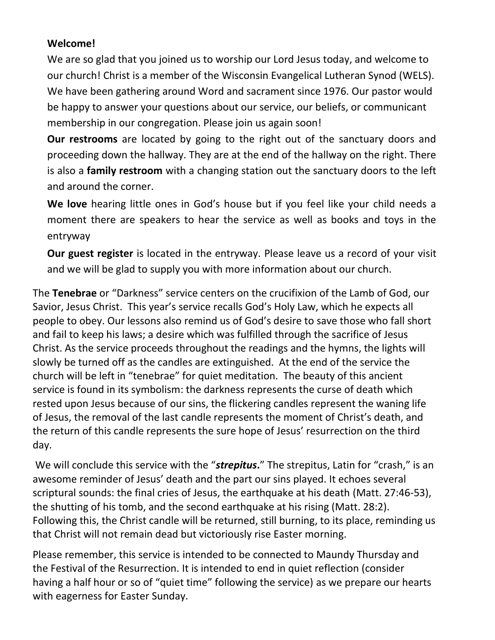# **Welcome!**

We are so glad that you joined us to worship our Lord Jesus today, and welcome to our church! Christ is a member of the Wisconsin Evangelical Lutheran Synod (WELS). We have been gathering around Word and sacrament since 1976. Our pastor would be happy to answer your questions about our service, our beliefs, or communicant membership in our congregation. Please join us again soon!

**Our restrooms** are located by going to the right out of the sanctuary doors and proceeding down the hallway. They are at the end of the hallway on the right. There is also a **family restroom** with a changing station out the sanctuary doors to the left and around the corner.

**We love** hearing little ones in God's house but if you feel like your child needs a moment there are speakers to hear the service as well as books and toys in the entryway

**Our guest register** is located in the entryway. Please leave us a record of your visit and we will be glad to supply you with more information about our church.

The **Tenebrae** or "Darkness" service centers on the crucifixion of the Lamb of God, our Savior, Jesus Christ. This year's service recalls God's Holy Law, which he expects all people to obey. Our lessons also remind us of God's desire to save those who fall short and fail to keep his laws; a desire which was fulfilled through the sacrifice of Jesus Christ. As the service proceeds throughout the readings and the hymns, the lights will slowly be turned off as the candles are extinguished. At the end of the service the church will be left in "tenebrae" for quiet meditation. The beauty of this ancient service is found in its symbolism: the darkness represents the curse of death which rested upon Jesus because of our sins, the flickering candles represent the waning life of Jesus, the removal of the last candle represents the moment of Christ's death, and the return of this candle represents the sure hope of Jesus' resurrection on the third day.

We will conclude this service with the "*strepitus***.**" The strepitus, Latin for "crash," is an awesome reminder of Jesus' death and the part our sins played. It echoes several scriptural sounds: the final cries of Jesus, the earthquake at his death (Matt. 27:46-53), the shutting of his tomb, and the second earthquake at his rising (Matt. 28:2). Following this, the Christ candle will be returned, still burning, to its place, reminding us that Christ will not remain dead but victoriously rise Easter morning.

Please remember, this service is intended to be connected to Maundy Thursday and the Festival of the Resurrection. It is intended to end in quiet reflection (consider having a half hour or so of "quiet time" following the service) as we prepare our hearts with eagerness for Easter Sunday.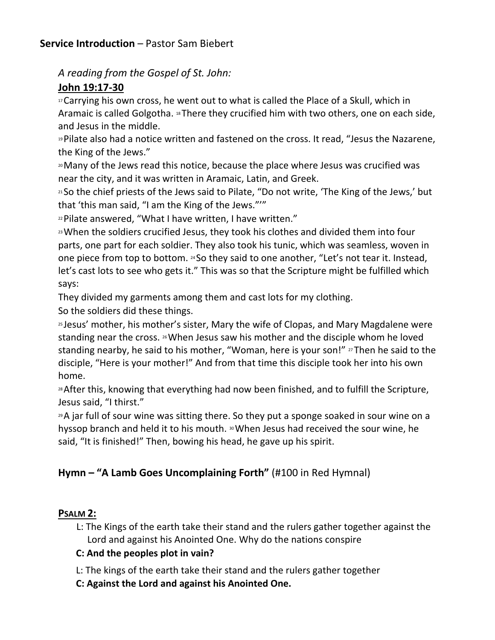### **Service Introduction** – Pastor Sam Biebert

*A reading from the Gospel of St. John:*

# **John 19:17-30**

<sup>17</sup> Carrying his own cross, he went out to what is called the Place of a Skull, which in Aramaic is called Golgotha. <sup>18</sup> There they crucified him with two others, one on each side, and Jesus in the middle.

<sup>19</sup>Pilate also had a notice written and fastened on the cross. It read, "Jesus the Nazarene, the King of the Jews."

<sup>20</sup>Many of the Jews read this notice, because the place where Jesus was crucified was near the city, and it was written in Aramaic, Latin, and Greek.

<sup>21</sup> So the chief priests of the Jews said to Pilate, "Do not write, 'The King of the Jews,' but that 'this man said, "I am the King of the Jews."'"

<sup>22</sup>Pilate answered, "What I have written, I have written."

<sup>23</sup>When the soldiers crucified Jesus, they took his clothes and divided them into four parts, one part for each soldier. They also took his tunic, which was seamless, woven in one piece from top to bottom. <sup>24</sup> So they said to one another, "Let's not tear it. Instead, let's cast lots to see who gets it." This was so that the Scripture might be fulfilled which says:

They divided my garments among them and cast lots for my clothing.

So the soldiers did these things.

<sup>25</sup> Jesus' mother, his mother's sister, Mary the wife of Clopas, and Mary Magdalene were standing near the cross. <sup>26</sup>When Jesus saw his mother and the disciple whom he loved standing nearby, he said to his mother, "Woman, here is your son!"  $v^2$  Then he said to the disciple, "Here is your mother!" And from that time this disciple took her into his own home.

<sup>28</sup> After this, knowing that everything had now been finished, and to fulfill the Scripture, Jesus said, "I thirst."

<sup>29</sup>A jar full of sour wine was sitting there. So they put a sponge soaked in sour wine on a hyssop branch and held it to his mouth. <sup>30</sup> When Jesus had received the sour wine, he said, "It is finished!" Then, bowing his head, he gave up his spirit.

# **Hymn – "A Lamb Goes Uncomplaining Forth"** (#100 in Red Hymnal)

#### **PSALM 2:**

L: The Kings of the earth take their stand and the rulers gather together against the Lord and against his Anointed One. Why do the nations conspire

#### **C: And the peoples plot in vain?**

L: The kings of the earth take their stand and the rulers gather together

**C: Against the Lord and against his Anointed One.**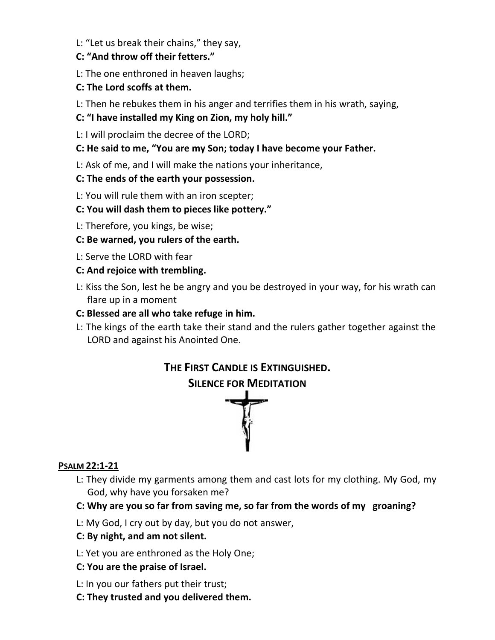L: "Let us break their chains," they say,

#### **C: "And throw off their fetters."**

- L: The one enthroned in heaven laughs;
- **C: The Lord scoffs at them.**
- L: Then he rebukes them in his anger and terrifies them in his wrath, saying,
- **C: "I have installed my King on Zion, my holy hill."**
- L: I will proclaim the decree of the LORD;
- **C: He said to me, "You are my Son; today I have become your Father.**
- L: Ask of me, and I will make the nations your inheritance,
- **C: The ends of the earth your possession.**
- L: You will rule them with an iron scepter;
- **C: You will dash them to pieces like pottery."**
- L: Therefore, you kings, be wise;
- **C: Be warned, you rulers of the earth.**
- L: Serve the LORD with fear
- **C: And rejoice with trembling.**
- L: Kiss the Son, lest he be angry and you be destroyed in your way, for his wrath can flare up in a moment
- **C: Blessed are all who take refuge in him.**
- L: The kings of the earth take their stand and the rulers gather together against the LORD and against his Anointed One.



#### **PSALM 22:1-21**

- L: They divide my garments among them and cast lots for my clothing. My God, my God, why have you forsaken me?
- **C: Why are you so far from saving me, so far from the words of my groaning?**
- L: My God, I cry out by day, but you do not answer,

#### **C: By night, and am not silent.**

- L: Yet you are enthroned as the Holy One;
- **C: You are the praise of Israel.**
- L: In you our fathers put their trust;
- **C: They trusted and you delivered them.**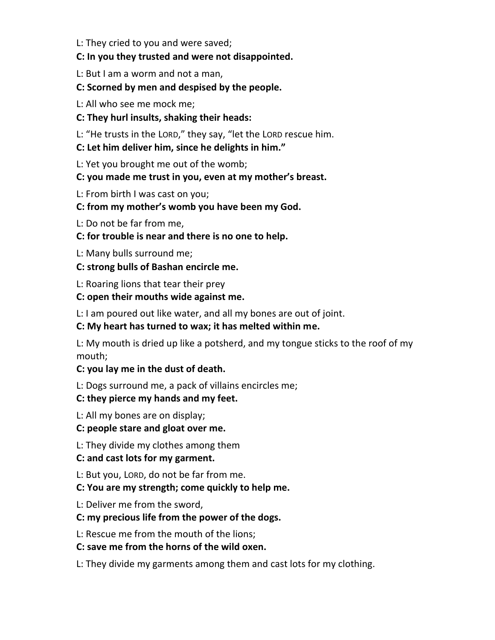L: They cried to you and were saved;

#### **C: In you they trusted and were not disappointed.**

L: But I am a worm and not a man,

### **C: Scorned by men and despised by the people.**

- L: All who see me mock me;
- **C: They hurl insults, shaking their heads:**
- L: "He trusts in the LORD," they say, "let the LORD rescue him.
- **C: Let him deliver him, since he delights in him."**
- L: Yet you brought me out of the womb;

# **C: you made me trust in you, even at my mother's breast.**

- L: From birth I was cast on you;
- **C: from my mother's womb you have been my God.**
- L: Do not be far from me,
- **C: for trouble is near and there is no one to help.**
- L: Many bulls surround me;
- **C: strong bulls of Bashan encircle me.**
- L: Roaring lions that tear their prey
- **C: open their mouths wide against me.**
- L: I am poured out like water, and all my bones are out of joint.

# **C: My heart has turned to wax; it has melted within me.**

L: My mouth is dried up like a potsherd, and my tongue sticks to the roof of my mouth;

#### **C: you lay me in the dust of death.**

L: Dogs surround me, a pack of villains encircles me;

# **C: they pierce my hands and my feet.**

L: All my bones are on display;

# **C: people stare and gloat over me.**

L: They divide my clothes among them

# **C: and cast lots for my garment.**

L: But you, LORD, do not be far from me.

# **C: You are my strength; come quickly to help me.**

L: Deliver me from the sword,

#### **C: my precious life from the power of the dogs.**

- L: Rescue me from the mouth of the lions;
- **C: save me from the horns of the wild oxen.**
- L: They divide my garments among them and cast lots for my clothing.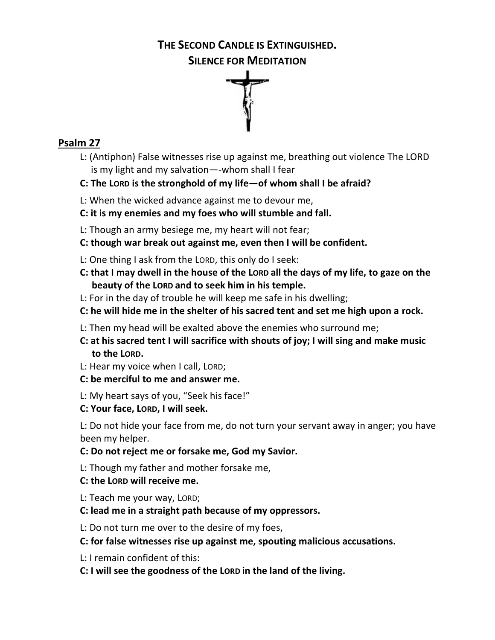#### **THE SECOND CANDLE IS EXTINGUISHED.**

**SILENCE FOR MEDITATION** 



# **Psalm 27**

- L: (Antiphon) False witnesses rise up against me, breathing out violence The LORD is my light and my salvation—-whom shall I fear
- **C: The LORD is the stronghold of my life—of whom shall I be afraid?**
- L: When the wicked advance against me to devour me,
- **C: it is my enemies and my foes who will stumble and fall.**
- L: Though an army besiege me, my heart will not fear;
- **C: though war break out against me, even then I will be confident.**
- L: One thing I ask from the LORD, this only do I seek:
- **C: that I may dwell in the house of the LORD all the days of my life, to gaze on the beauty of the LORD and to seek him in his temple.**
- L: For in the day of trouble he will keep me safe in his dwelling;
- **C: he will hide me in the shelter of his sacred tent and set me high upon a rock.**
- L: Then my head will be exalted above the enemies who surround me;
- **C: at his sacred tent I will sacrifice with shouts of joy; I will sing and make music to the LORD.**
- L: Hear my voice when I call, LORD;
- **C: be merciful to me and answer me.**
- L: My heart says of you, "Seek his face!"
- **C: Your face, LORD, I will seek.**

L: Do not hide your face from me, do not turn your servant away in anger; you have been my helper.

- **C: Do not reject me or forsake me, God my Savior.**
- L: Though my father and mother forsake me,
- **C: the LORD will receive me.**
- L: Teach me your way, LORD;
- **C: lead me in a straight path because of my oppressors.**
- L: Do not turn me over to the desire of my foes,
- **C: for false witnesses rise up against me, spouting malicious accusations.**
- L: I remain confident of this:
- **C: I will see the goodness of the LORD in the land of the living.**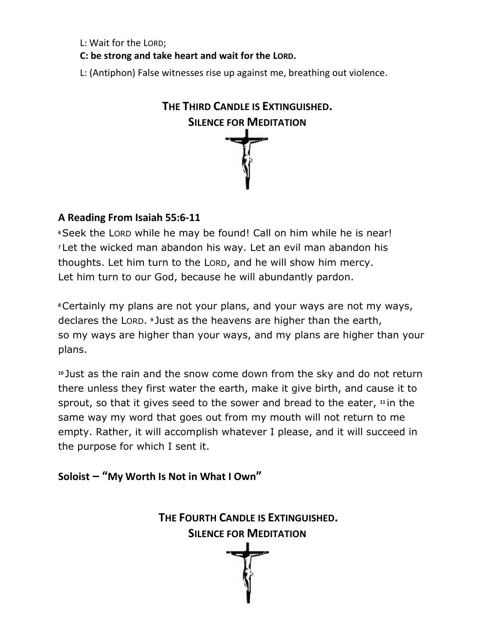L: Wait for the LORD;

**C: be strong and take heart and wait for the LORD.**

L: (Antiphon) False witnesses rise up against me, breathing out violence.

| THE THIRD CANDLE IS EXTINGUISHED. |
|-----------------------------------|
| <b>SILENCE FOR MEDITATION</b>     |
|                                   |
|                                   |
|                                   |
|                                   |

### **A Reading From Isaiah 55:6-11**

**<sup>6</sup>**Seek the LORD while he may be found! Call on him while he is near! **<sup>7</sup>** Let the wicked man abandon his way. Let an evil man abandon his thoughts. Let him turn to the LORD, and he will show him mercy. Let him turn to our God, because he will abundantly pardon.

**<sup>8</sup>**Certainly my plans are not your plans, and your ways are not my ways, declares the LORD. **<sup>9</sup>** Just as the heavens are higher than the earth, so my ways are higher than your ways, and my plans are higher than your plans.

**<sup>10</sup>** Just as the rain and the snow come down from the sky and do not return there unless they first water the earth, make it give birth, and cause it to sprout, so that it gives seed to the sower and bread to the eater, **<sup>11</sup>** in the same way my word that goes out from my mouth will not return to me empty. Rather, it will accomplish whatever I please, and it will succeed in the purpose for which I sent it.

**Soloist – "My Worth Is Not in What I Own"**

**THE FOURTH CANDLE IS EXTINGUISHED. SILENCE FOR MEDITATION**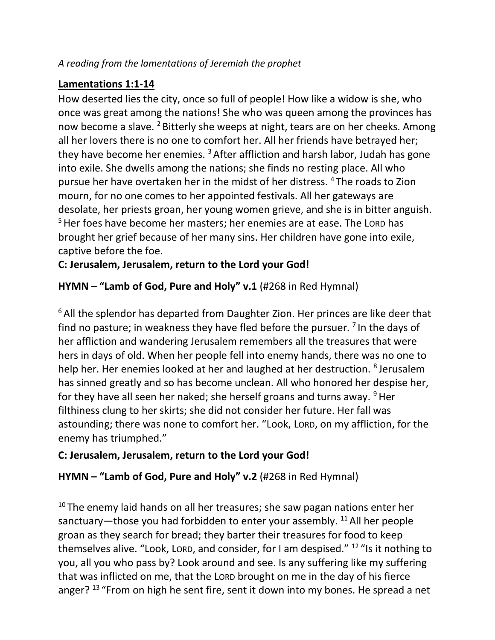# **Lamentations 1:1-14**

How deserted lies the city, once so full of people! How like a widow is she, who once was great among the nations! She who was queen among the provinces has now become a slave. <sup>2</sup> Bitterly she weeps at night, tears are on her cheeks. Among all her lovers there is no one to comfort her. All her friends have betrayed her; they have become her enemies.<sup>3</sup> After affliction and harsh labor, Judah has gone into exile. She dwells among the nations; she finds no resting place. All who pursue her have overtaken her in the midst of her distress. <sup>4</sup> The roads to Zion mourn, for no one comes to her appointed festivals. All her gateways are desolate, her priests groan, her young women grieve, and she is in bitter anguish. <sup>5</sup> Her foes have become her masters; her enemies are at ease. The Lord has brought her grief because of her many sins. Her children have gone into exile, captive before the foe.

**C: Jerusalem, Jerusalem, return to the Lord your God!**

**HYMN – "Lamb of God, Pure and Holy" v.1** (#268 in Red Hymnal)

<sup>6</sup> All the splendor has departed from Daughter Zion. Her princes are like deer that find no pasture; in weakness they have fled before the pursuer.  $\frac{7}{1}$  In the days of her affliction and wandering Jerusalem remembers all the treasures that were hers in days of old. When her people fell into enemy hands, there was no one to help her. Her enemies looked at her and laughed at her destruction. <sup>8</sup> Jerusalem has sinned greatly and so has become unclean. All who honored her despise her, for they have all seen her naked; she herself groans and turns away.  $9$  Her filthiness clung to her skirts; she did not consider her future. Her fall was astounding; there was none to comfort her. "Look, LORD, on my affliction, for the enemy has triumphed."

# **C: Jerusalem, Jerusalem, return to the Lord your God!**

**HYMN – "Lamb of God, Pure and Holy" v.2** (#268 in Red Hymnal)

 $10$  The enemy laid hands on all her treasures; she saw pagan nations enter her sanctuary—those you had forbidden to enter your assembly.  $^{11}$  All her people groan as they search for bread; they barter their treasures for food to keep themselves alive. "Look, Lorp, and consider, for I am despised."  $^{12}$  "Is it nothing to you, all you who pass by? Look around and see. Is any suffering like my suffering that was inflicted on me, that the LORD brought on me in the day of his fierce anger?<sup>13</sup> "From on high he sent fire, sent it down into my bones. He spread a net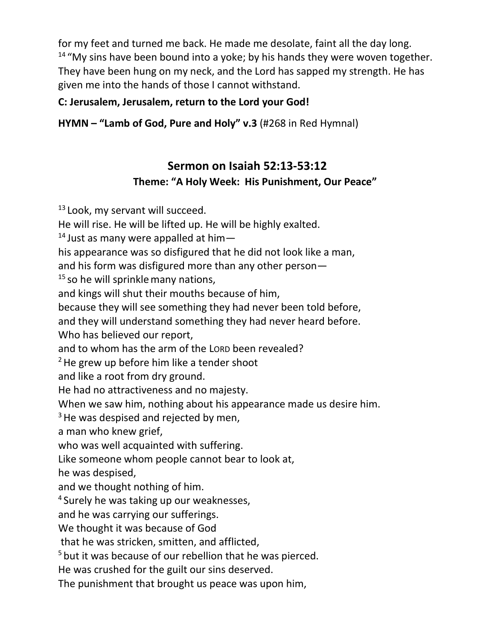for my feet and turned me back. He made me desolate, faint all the day long.  $14$  "My sins have been bound into a yoke; by his hands they were woven together. They have been hung on my neck, and the Lord has sapped my strength. He has given me into the hands of those I cannot withstand.

# **C: Jerusalem, Jerusalem, return to the Lord your God!**

**HYMN – "Lamb of God, Pure and Holy" v.3** (#268 in Red Hymnal)

# **Sermon on Isaiah 52:13-53:12 Theme: "A Holy Week: His Punishment, Our Peace"**

 $13$  Look, my servant will succeed. He will rise. He will be lifted up. He will be highly exalted. <sup>14</sup> Just as many were appalled at himhis appearance was so disfigured that he did not look like a man, and his form was disfigured more than any other person—  $15$  so he will sprinkle many nations, and kings will shut their mouths because of him, because they will see something they had never been told before, and they will understand something they had never heard before. Who has believed our report. and to whom has the arm of the LORD been revealed?  $2$ He grew up before him like a tender shoot and like a root from dry ground. He had no attractiveness and no majesty. When we saw him, nothing about his appearance made us desire him.  $3$  He was despised and rejected by men, a man who knew grief, who was well acquainted with suffering. Like someone whom people cannot bear to look at, he was despised, and we thought nothing of him. <sup>4</sup> Surely he was taking up our weaknesses, and he was carrying our sufferings. We thought it was because of God that he was stricken, smitten, and afflicted, <sup>5</sup> but it was because of our rebellion that he was pierced. He was crushed for the guilt our sins deserved. The punishment that brought us peace was upon him,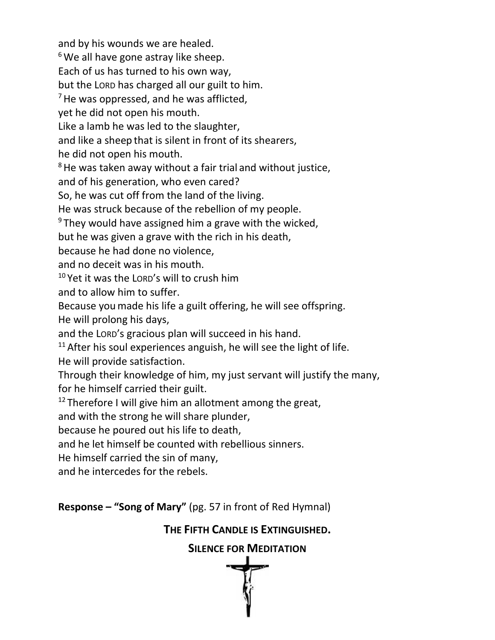and by his wounds we are healed.  $6$  We all have gone astray like sheep. Each of us has turned to his own way, but the LORD has charged all our guilt to him.  $<sup>7</sup>$  He was oppressed, and he was afflicted,</sup> yet he did not open his mouth. Like a lamb he was led to the slaughter, and like a sheep that is silent in front of its shearers, he did not open his mouth.  $8$  He was taken away without a fair trial and without justice, and of his generation, who even cared? So, he was cut off from the land of the living. He was struck because of the rebellion of my people.  $9$  They would have assigned him a grave with the wicked, but he was given a grave with the rich in his death, because he had done no violence, and no deceit was in his mouth.  $10$  Yet it was the LORD's will to crush him and to allow him to suffer. Because youmade his life a guilt offering, he will see offspring. He will prolong his days, and the LORD's gracious plan will succeed in his hand.  $11$  After his soul experiences anguish, he will see the light of life. He will provide satisfaction. Through their knowledge of him, my just servant will justify the many, for he himself carried their guilt.  $12$  Therefore I will give him an allotment among the great, and with the strong he will share plunder, because he poured out his life to death, and he let himself be counted with rebellious sinners. He himself carried the sin of many, and he intercedes for the rebels. **Response – "Song of Mary"** (pg. 57 in front of Red Hymnal)

# **THE FIFTH CANDLE IS EXTINGUISHED.**

**SILENCE FOR MEDITATION**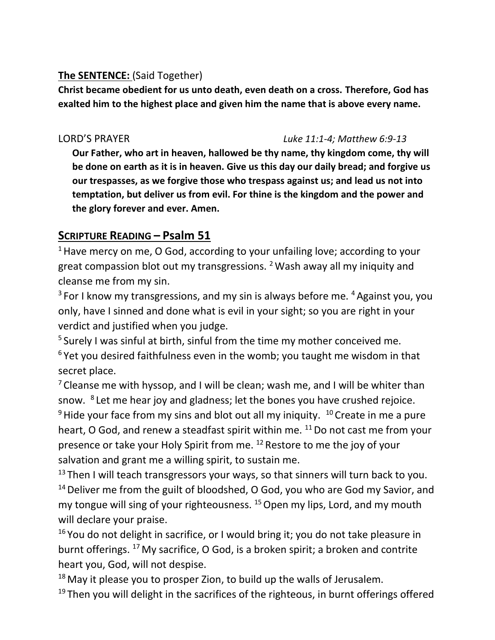# **The SENTENCE:** (Said Together)

**Christ became obedient for us unto death, even death on a cross. Therefore, God has exalted him to the highest place and given him the name that is above every name.**

#### LORD'S PRAYER *Luke 11:1-4; Matthew 6:9-13*

**Our Father, who art in heaven, hallowed be thy name, thy kingdom come, thy will be done on earth as it is in heaven. Give us this day our daily bread; and forgive us our trespasses, as we forgive those who trespass against us; and lead us not into temptation, but deliver us from evil. For thine is the kingdom and the power and the glory forever and ever. Amen.**

# **SCRIPTURE READING – Psalm 51**

<sup>1</sup> Have mercy on me, O God, according to your unfailing love; according to your great compassion blot out my transgressions. <sup>2</sup>Wash away all my iniquity and cleanse me from my sin.

 $3$  For I know my transgressions, and my sin is always before me.  $4$  Against you, you only, have I sinned and done what is evil in your sight; so you are right in your verdict and justified when you judge.

<sup>5</sup> Surely I was sinful at birth, sinful from the time my mother conceived me.  $6$  Yet you desired faithfulness even in the womb; you taught me wisdom in that secret place.

<sup>7</sup> Cleanse me with hyssop, and I will be clean; wash me, and I will be whiter than snow. <sup>8</sup> Let me hear joy and gladness; let the bones you have crushed rejoice.  $9$  Hide your face from my sins and blot out all my iniquity.  $10$  Create in me a pure heart, O God, and renew a steadfast spirit within me.  $11$  Do not cast me from your presence or take your Holy Spirit from me. <sup>12</sup> Restore to me the joy of your salvation and grant me a willing spirit, to sustain me.

 $13$  Then I will teach transgressors your ways, so that sinners will turn back to you. <sup>14</sup> Deliver me from the guilt of bloodshed, O God, you who are God my Savior, and my tongue will sing of your righteousness. <sup>15</sup> Open my lips, Lord, and my mouth will declare your praise.

 $16$  You do not delight in sacrifice, or I would bring it; you do not take pleasure in burnt offerings. <sup>17</sup> My sacrifice, O God, is a broken spirit; a broken and contrite heart you, God, will not despise.

 $18$  May it please you to prosper Zion, to build up the walls of Jerusalem.  $19$  Then you will delight in the sacrifices of the righteous, in burnt offerings offered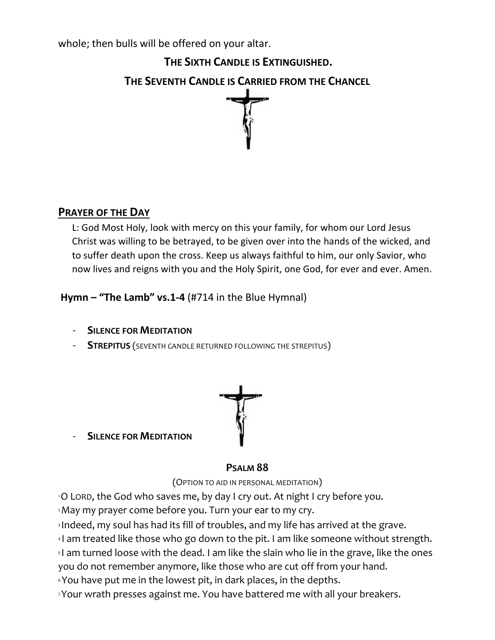whole; then bulls will be offered on your altar.

**THE SIXTH CANDLE IS EXTINGUISHED. THE SEVENTH CANDLE IS CARRIED FROM THE CHANCEL**



# **PRAYER OF THE DAY**

L: God Most Holy, look with mercy on this your family, for whom our Lord Jesus Christ was willing to be betrayed, to be given over into the hands of the wicked, and to suffer death upon the cross. Keep us always faithful to him, our only Savior, who now lives and reigns with you and the Holy Spirit, one God, for ever and ever. Amen.

**Hymn – "The Lamb" vs.1-4** (#714 in the Blue Hymnal)

- **SILENCE FOR MEDITATION**
- **STREPITUS** (SEVENTH CANDLE RETURNED FOLLOWING THE STREPITUS)



- **SILENCE FOR MEDITATION**

# **PSALM 88**

(OPTION TO AID IN PERSONAL MEDITATION)

<sup>1</sup>O LORD, the God who saves me, by day I cry out. At night I cry before you.

<sup>2</sup>May my prayer come before you. Turn your ear to my cry.

<sup>3</sup> Indeed, my soul has had its fill of troubles, and my life has arrived at the grave.

<sup>4</sup> I am treated like those who go down to the pit. I am like someone without strength.

<sup>5</sup> I am turned loose with the dead. I am like the slain who lie in the grave, like the ones you do not remember anymore, like those who are cut off from your hand.

<sup>6</sup> You have put me in the lowest pit, in dark places, in the depths.

7Your wrath presses against me. You have battered me with all your breakers.